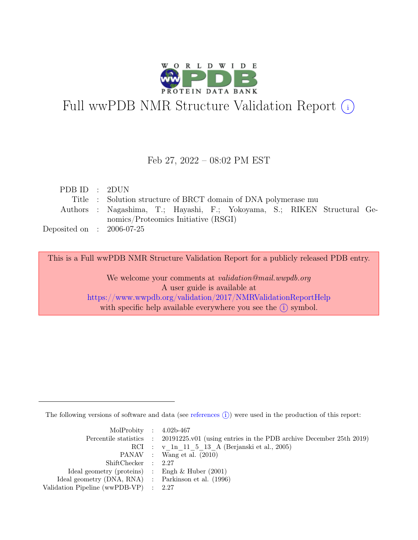

# Full wwPDB NMR Structure Validation Report (i)

#### Feb 27, 2022 – 08:02 PM EST

| PDBID : 2DUN                |                                                                          |
|-----------------------------|--------------------------------------------------------------------------|
|                             | Title : Solution structure of BRCT domain of DNA polymerase mu           |
|                             | Authors : Nagashima, T.; Hayashi, F.; Yokoyama, S.; RIKEN Structural Ge- |
|                             | nomics/Proteomics Initiative (RSGI)                                      |
| Deposited on : $2006-07-25$ |                                                                          |

This is a Full wwPDB NMR Structure Validation Report for a publicly released PDB entry.

We welcome your comments at *validation@mail.wwpdb.org* A user guide is available at <https://www.wwpdb.org/validation/2017/NMRValidationReportHelp> with specific help available everywhere you see the  $(i)$  symbol.

The following versions of software and data (see [references](https://www.wwpdb.org/validation/2017/NMRValidationReportHelp#references)  $\hat{I}$ ) were used in the production of this report:

| MolProbity : $4.02b-467$                            |                                                                                            |
|-----------------------------------------------------|--------------------------------------------------------------------------------------------|
|                                                     | Percentile statistics : 20191225.v01 (using entries in the PDB archive December 25th 2019) |
|                                                     | RCI : v 1n 11 5 13 A (Berjanski et al., 2005)                                              |
|                                                     | PANAV : Wang et al. (2010)                                                                 |
| ShiftChecker : 2.27                                 |                                                                                            |
| Ideal geometry (proteins) : Engh $\&$ Huber (2001)  |                                                                                            |
| Ideal geometry (DNA, RNA) : Parkinson et al. (1996) |                                                                                            |
| Validation Pipeline (wwPDB-VP) : 2.27               |                                                                                            |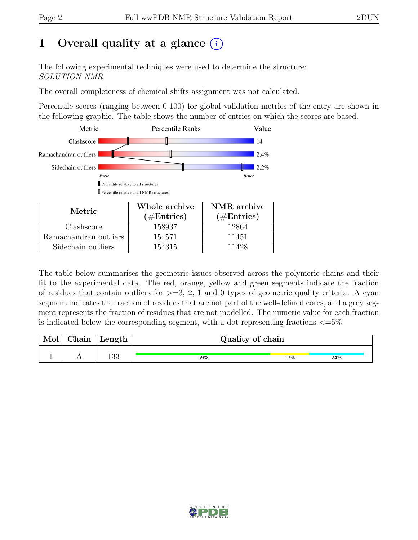# 1 Overall quality at a glance  $(i)$

The following experimental techniques were used to determine the structure: SOLUTION NMR

The overall completeness of chemical shifts assignment was not calculated.

Percentile scores (ranging between 0-100) for global validation metrics of the entry are shown in the following graphic. The table shows the number of entries on which the scores are based.



| Metric.               | Whole archive        | NMR archive   |  |
|-----------------------|----------------------|---------------|--|
|                       | $(\#\text{Entries})$ | $(\#Entries)$ |  |
| Clashscore            | 158937               | 12864         |  |
| Ramachandran outliers | 154571               | 11451         |  |
| Sidechain outliers    | 154315               | 11428         |  |

The table below summarises the geometric issues observed across the polymeric chains and their fit to the experimental data. The red, orange, yellow and green segments indicate the fraction of residues that contain outliers for  $>=$  3, 2, 1 and 0 types of geometric quality criteria. A cyan segment indicates the fraction of residues that are not part of the well-defined cores, and a grey segment represents the fraction of residues that are not modelled. The numeric value for each fraction is indicated below the corresponding segment, with a dot representing fractions  $\langle=5\%$ 

| Mol | ${\rm Chain}$ | Length     | Quality of chain |     |     |  |  |  |
|-----|---------------|------------|------------------|-----|-----|--|--|--|
|     |               | 199<br>⊥⊖⊖ | 59%              | 17% | 24% |  |  |  |

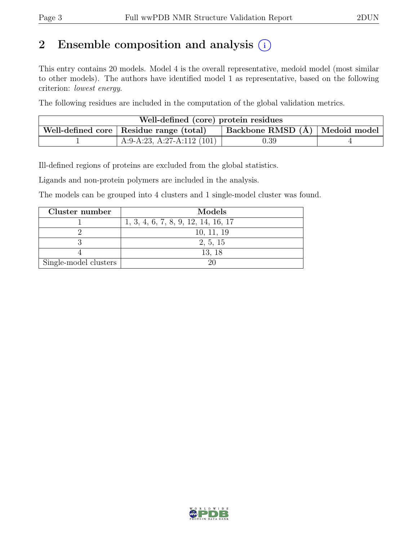# 2 Ensemble composition and analysis  $(i)$

This entry contains 20 models. Model 4 is the overall representative, medoid model (most similar to other models). The authors have identified model 1 as representative, based on the following criterion: lowest energy.

The following residues are included in the computation of the global validation metrics.

| Well-defined (core) protein residues                                            |                            |      |  |  |  |  |
|---------------------------------------------------------------------------------|----------------------------|------|--|--|--|--|
| Backbone RMSD (Å)   Medoid model  <br>Well-defined core   Residue range (total) |                            |      |  |  |  |  |
|                                                                                 | A:9-A:23, A:27-A:112 (101) | 0.39 |  |  |  |  |

Ill-defined regions of proteins are excluded from the global statistics.

Ligands and non-protein polymers are included in the analysis.

The models can be grouped into 4 clusters and 1 single-model cluster was found.

| Cluster number        | Models                              |
|-----------------------|-------------------------------------|
|                       | 1, 3, 4, 6, 7, 8, 9, 12, 14, 16, 17 |
|                       | 10, 11, 19                          |
|                       | 2, 5, 15                            |
|                       | 13, 18                              |
| Single-model clusters |                                     |

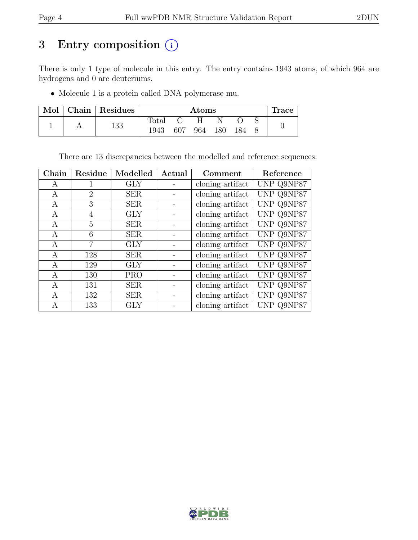# 3 Entry composition  $(i)$

There is only 1 type of molecule in this entry. The entry contains 1943 atoms, of which 964 are hydrogens and 0 are deuteriums.

• Molecule 1 is a protein called DNA polymerase mu.

| Mol |     | Chain   Residues | $\rm{Atoms}$   |     |     |     |  | <b>Trace</b> |  |
|-----|-----|------------------|----------------|-----|-----|-----|--|--------------|--|
|     |     |                  | $_{\rm Total}$ |     |     |     |  |              |  |
|     | 133 | 1943             | 607            | 964 | 180 | 184 |  |              |  |

There are 13 discrepancies between the modelled and reference sequences:

| Chain | Residue                     | Modelled   | Actual | Comment          | Reference  |
|-------|-----------------------------|------------|--------|------------------|------------|
| A     | T                           | <b>GLY</b> |        | cloning artifact | UNP Q9NP87 |
| A     | $\mathcal{D}_{\mathcal{L}}$ | <b>SER</b> |        | cloning artifact | UNP Q9NP87 |
| A     | 3                           | <b>SER</b> |        | cloning artifact | UNP Q9NP87 |
| A     | 4                           | <b>GLY</b> |        | cloning artifact | UNP Q9NP87 |
| А     | 5                           | <b>SER</b> |        | cloning artifact | UNP Q9NP87 |
| A     | 6                           | <b>SER</b> |        | cloning artifact | UNP Q9NP87 |
| A     | 7                           | <b>GLY</b> |        | cloning artifact | UNP Q9NP87 |
| А     | 128                         | <b>SER</b> |        | cloning artifact | UNP Q9NP87 |
| A     | 129                         | <b>GLY</b> |        | cloning artifact | UNP Q9NP87 |
| A     | 130                         | <b>PRO</b> |        | cloning artifact | UNP Q9NP87 |
| А     | 131                         | <b>SER</b> |        | cloning artifact | UNP Q9NP87 |
| A     | 132                         | <b>SER</b> |        | cloning artifact | UNP Q9NP87 |
| А     | 133                         | GLY        |        | cloning artifact | UNP Q9NP87 |

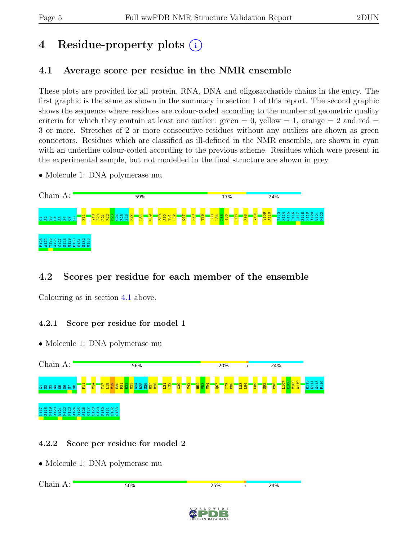# 4 Residue-property plots (i)

# <span id="page-4-0"></span>4.1 Average score per residue in the NMR ensemble

These plots are provided for all protein, RNA, DNA and oligosaccharide chains in the entry. The first graphic is the same as shown in the summary in section 1 of this report. The second graphic shows the sequence where residues are colour-coded according to the number of geometric quality criteria for which they contain at least one outlier:  $green = 0$ ,  $yellow = 1$ ,  $orange = 2$  and  $red =$ 3 or more. Stretches of 2 or more consecutive residues without any outliers are shown as green connectors. Residues which are classified as ill-defined in the NMR ensemble, are shown in cyan with an underline colour-coded according to the previous scheme. Residues which were present in the experimental sample, but not modelled in the final structure are shown in grey.

• Molecule 1: DNA polymerase mu



# 4.2 Scores per residue for each member of the ensemble

Colouring as in section [4.1](#page-4-0) above.

### 4.2.1 Score per residue for model 1

• Molecule 1: DNA polymerase mu



### 4.2.2 Score per residue for model 2

• Molecule 1: DNA polymerase mu

Chain A:50% 25% 24%

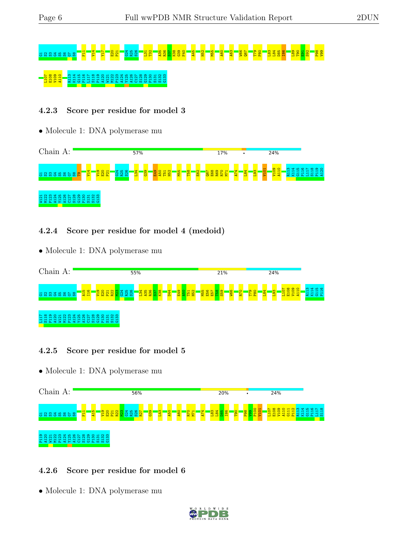# 5 S36 S5 S<sup>2</sup>5 S<sup>2</sup>1 T3<sup>1</sup> T31 T32 A52 T32 T32 T32 M52 S32 T31 T20 T81 T81 T81 T81 T81 D81 D81 D82 E91 S92 P98 U91 T 00 E108 B10 B110 B110 B111

#### 4.2.3 Score per residue for model 3

• Molecule 1: DNA polymerase mu



4.2.4 Score per residue for model 4 (medoid)

• Molecule 1: DNA polymerase mu



#### 4.2.5 Score per residue for model 5

• Molecule 1: DNA polymerase mu



#### 4.2.6 Score per residue for model 6

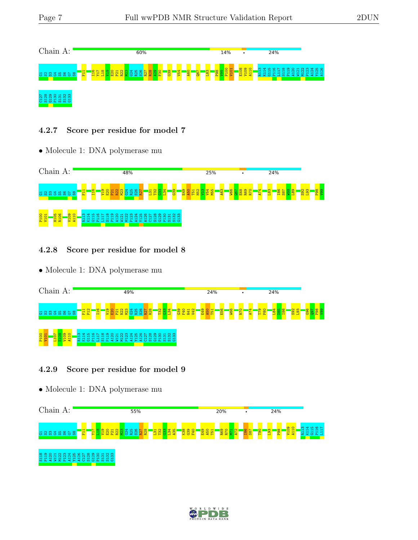

#### 4.2.7 Score per residue for model 7

• Molecule 1: DNA polymerase mu



#### 4.2.8 Score per residue for model 8

• Molecule 1: DNA polymerase mu



#### 4.2.9 Score per residue for model 9



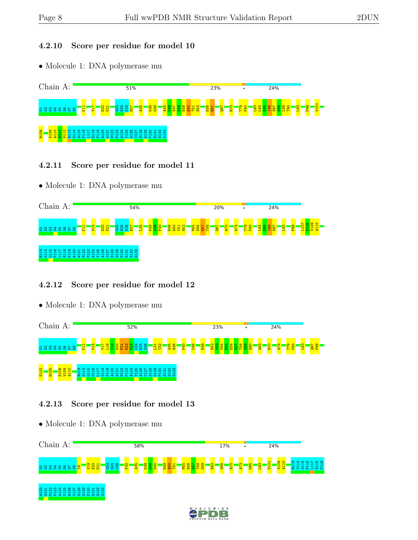#### 4.2.10 Score per residue for model 10

• Molecule 1: DNA polymerase mu



- 4.2.11 Score per residue for model 11
- Molecule 1: DNA polymerase mu



#### 4.2.12 Score per residue for model 12

• Molecule 1: DNA polymerase mu



#### 4.2.13 Score per residue for model 13

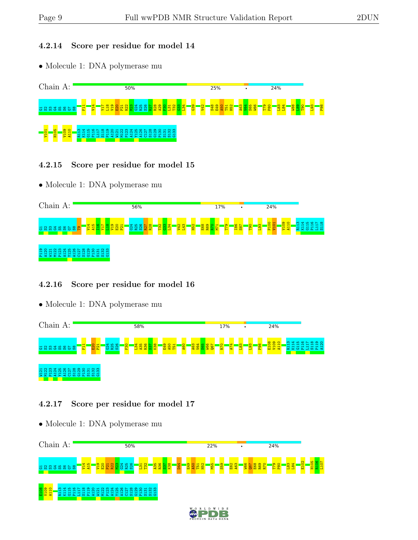#### 4.2.14 Score per residue for model 14

• Molecule 1: DNA polymerase mu



- 4.2.15 Score per residue for model 15
- Molecule 1: DNA polymerase mu



#### 4.2.16 Score per residue for model 16

• Molecule 1: DNA polymerase mu



#### 4.2.17 Score per residue for model 17

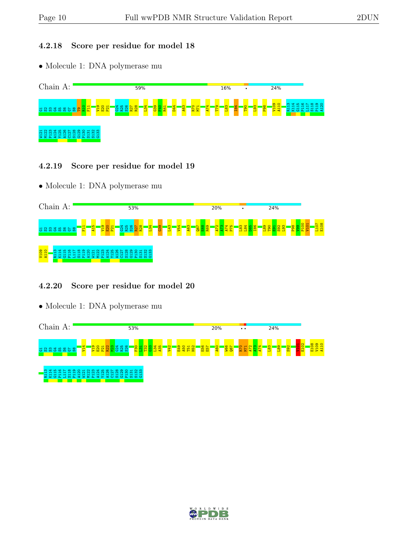#### 4.2.18 Score per residue for model 18

• Molecule 1: DNA polymerase mu



#### 4.2.19 Score per residue for model 19

• Molecule 1: DNA polymerase mu



#### 4.2.20 Score per residue for model 20



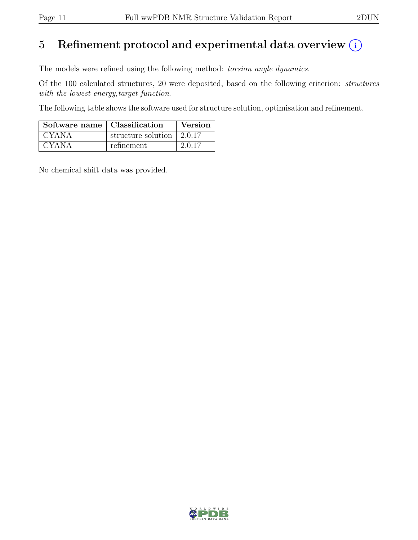# 5 Refinement protocol and experimental data overview  $(i)$

The models were refined using the following method: torsion angle dynamics.

Of the 100 calculated structures, 20 were deposited, based on the following criterion: structures with the lowest energy,target function.

The following table shows the software used for structure solution, optimisation and refinement.

| Software name   Classification |                                         | Version |
|--------------------------------|-----------------------------------------|---------|
| <b>CYANA</b>                   | structure solution $\vert 2.0.17 \vert$ |         |
| <b>CYANA</b>                   | refinement                              | 2.0.17  |

No chemical shift data was provided.

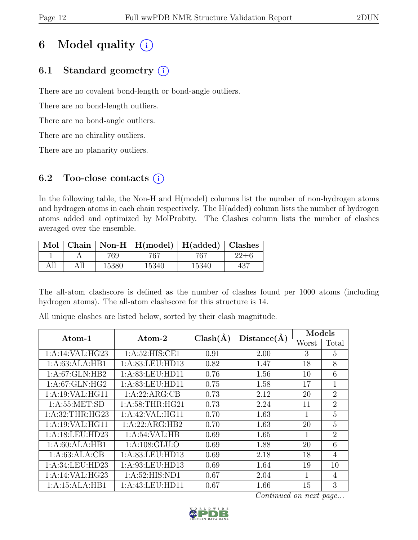# 6 Model quality  $(i)$

# 6.1 Standard geometry  $(i)$

There are no covalent bond-length or bond-angle outliers.

There are no bond-length outliers.

There are no bond-angle outliers.

There are no chirality outliers.

There are no planarity outliers.

### 6.2 Too-close contacts  $(i)$

In the following table, the Non-H and H(model) columns list the number of non-hydrogen atoms and hydrogen atoms in each chain respectively. The H(added) column lists the number of hydrogen atoms added and optimized by MolProbity. The Clashes column lists the number of clashes averaged over the ensemble.

| Mol |       | $\mid$ Chain $\mid$ Non-H $\mid$ H(model) $\mid$ H(added) $\mid$ Clashes |       |     |
|-----|-------|--------------------------------------------------------------------------|-------|-----|
|     | 769-  |                                                                          | 767   |     |
|     | 15380 | 15340                                                                    | 15340 | 437 |

The all-atom clashscore is defined as the number of clashes found per 1000 atoms (including hydrogen atoms). The all-atom clashscore for this structure is 14.

| $\rm{Atom-1}$     | $\rm{Atom}\text{-}2$ | $Clash(\AA)$ | Distance(A) | Models |                |  |
|-------------------|----------------------|--------------|-------------|--------|----------------|--|
|                   |                      |              |             | Worst  | Total          |  |
| 1:A:14:VAL:HG23   | 1: A:52: HIS: CE1    | 0.91         | 2.00        | 3      | 5              |  |
| 1:A:63:ALA:HB1    | 1:A:83:LEU:HD13      | 0.82         | 1.47        | 18     | 8              |  |
| 1:A:67:GLN:HB2    | 1: A:83: LEU: HD11   | 0.76         | 1.56        | 10     | 6              |  |
| 1:A:67:GLN:HG2    | 1: A:83: LEU: HD11   | 0.75         | 1.58        | 17     | $\mathbf{1}$   |  |
| 1:A:19:VAL:HG11   | 1:A:22:ARG:CB        | 0.73         | 2.12        | 20     | $\overline{2}$ |  |
| 1: A: 55: MET: SD | 1: A:58:THR:HG21     | 0.73         | 2.24        | 11     | $\overline{2}$ |  |
| 1: A:32:THR:HG23  | 1:A:42:VAL:HG11      | 0.70         | 1.63        | 1      | $\overline{5}$ |  |
| 1:A:19:VAL:HG11   | 1:A:22:ARG:HB2       | 0.70         | 1.63        | 20     | 5              |  |
| 1:A:18:LEU:HD23   | 1: A:54:VAL:HB       | 0.69         | 1.65        | 1      | $\overline{2}$ |  |
| 1:A:60:ALA:HB1    | 1:A:108:GLU:O        | 0.69         | 1.88        | 20     | 6              |  |
| 1:A:63:ALA:CB     | 1:A:83:LEU:HD13      | 0.69         | 2.18        | 18     | 4              |  |
| 1:A:34:LEU:HD23   | 1: A:93: LEU: HD13   | 0.69         | 1.64        | 19     | 10             |  |
| 1:A:14:VAL:HG23   | 1: A:52: HIS: ND1    | 0.67         | 2.04        | 1      | $\overline{4}$ |  |
| 1:A:15:ALA:HB1    | 1: A: 43: LEU: HD11  | 0.67         | 1.66        | 15     | 3              |  |

All unique clashes are listed below, sorted by their clash magnitude.

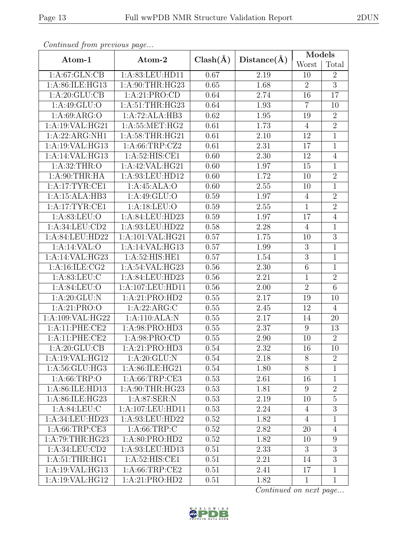| Continuea from previous page |                    |              |             | Models          |                 |
|------------------------------|--------------------|--------------|-------------|-----------------|-----------------|
| Atom-1                       | Atom-2             | $Clash(\AA)$ | Distance(A) | Worst           | Total           |
| 1: A:67: GLN:CB              | 1: A:83: LEU: HD11 | 0.67         | 2.19        | 10              | $\overline{2}$  |
| 1:A:86:ILE:HG13              | 1:A:90:THR:HG23    | 0.65         | 1.68        | $\overline{2}$  | $\overline{3}$  |
| 1: A:20: GLU:CB              | 1:A:21:PRO:CD      | 0.64         | 2.74        | 16              | 17              |
| 1: A:49: GLU:O               | 1: A:51:THR:HG23   | 0.64         | 1.93        | $\overline{7}$  | 10              |
| 1: A:69: ARG:O               | 1:A:72:ALA:HB3     | 0.62         | 1.95        | 19              | $\sqrt{2}$      |
| 1:A:19:VAL:HG21              | 1:A:55:MET:HG2     | 0.61         | 1.73        | $\overline{4}$  | $\overline{2}$  |
| 1:A:22:ARG:NH1               | 1:A:58:THR:HG21    | 0.61         | 2.10        | 12              | $\mathbf 1$     |
| 1:A:19:VAL:HG13              | 1: A:66:TRP:CZ2    | 0.61         | 2.31        | 17              | $\mathbf{1}$    |
| 1:A:14:VAL:HG13              | 1:A:52:HIS:CE1     | 0.60         | 2.30        | 12              | $\overline{4}$  |
| 1:A:32:THR:O                 | 1:A:42:VAL:HG21    | 0.60         | 1.97        | 15              | $\mathbf{1}$    |
| 1: A:90:THR:HA               | 1:A:93:LEU:HD12    | 0.60         | 1.72        | 10              | $\overline{2}$  |
| 1:A:17:TYR:CE1               | 1:A:45:ALA:O       | 0.60         | 2.55        | 10              | $1\,$           |
| 1:A:15:ALA:HB3               | 1:A:49:GLU:O       | 0.59         | 1.97        | $\overline{4}$  | $\overline{2}$  |
| 1:A:17:TYR:CE1               | 1:A:18:LEU:O       | 0.59         | $2.55\,$    | $\mathbf{1}$    | $\overline{2}$  |
| 1:A:83:LEU:O                 | 1:A:84:LEU:HD23    | 0.59         | 1.97        | 17              | $\overline{4}$  |
| 1:A:34:LEU:CD2               | 1:A:93:LEU:HD22    | 0.58         | 2.28        | $\overline{4}$  | $\mathbf{1}$    |
| 1:A:84:LEU:HD22              | 1:A:101:VAL:HG21   | 0.57         | 1.75        | 10              | $\overline{3}$  |
| 1:A:14:VAL:O                 | 1:A:14:VAL:HG13    | 0.57         | 1.99        | 3               | $\overline{1}$  |
| 1:A:14:VAL:HG23              | 1:A:52:HIS:HE1     | 0.57         | 1.54        | $\overline{3}$  | $\overline{1}$  |
| 1: A:16: ILE: CG2            | 1:A:54:VAL:HG23    | 0.56         | 2.30        | $\,6$           | $\mathbf 1$     |
| 1: A:83: LEU: C              | 1:A:84:LEU:HD23    | 0.56         | 2.21        | $\mathbf{1}$    | $\overline{2}$  |
| 1:A:84:LEU:O                 | 1:A:107:LEU:HD11   | 0.56         | $2.00\,$    | $\overline{2}$  | $\overline{6}$  |
| 1:A:20:GLU:N                 | 1:A:21:PRO:HD2     | 0.55         | 2.17        | 19              | 10              |
| 1:A:21:PRO:O                 | 1:A:22:ARG:C       | 0.55         | 2.45        | 12              | $\overline{4}$  |
| 1:A:109:VAL:HG22             | 1:A:110:ALA:N      | 0.55         | 2.17        | 14              | 20              |
| 1:A:11:PHE:CE2               | 1:A:98:PRO:HD3     | 0.55         | 2.37        | 9               | 13              |
| 1:A:11:PHE:CE2               | 1:A:98:PRO:CD      | 0.55         | 2.90        | 10              | $\overline{2}$  |
| 1:A:20:GLU:CB                | 1:A:21:PRO:HD3     | 0.54         | 2.32        | $\overline{16}$ | $\overline{10}$ |
| 1:A:19:VAL:HG12              | 1: A:20: GLU:N     | 0.54         | 2.18        | 8               | $\overline{2}$  |
| 1:A:56:GLU:HG3               | 1:A:86:ILE:HG21    | 0.54         | 1.80        | 8               | $\mathbf{1}$    |
| 1: A:66:TRP:O                | 1: A:66:TRP:CE3    | 0.53         | 2.61        | 16              | $\mathbf{1}$    |
| 1:A:86:ILE:HD13              | 1: A:90:THR:HG23   | 0.53         | 1.81        | 9               | $\overline{2}$  |
| 1: A:86: ILE: HG23           | 1: A:87:SER:N      | 0.53         | 2.19        | 10              | $\overline{5}$  |
| 1: A:84:LEU:C                | 1:A:107:LEU:HD11   | 0.53         | 2.24        | $\overline{4}$  | $\mathfrak{Z}$  |
| 1:A:34:LEU:HD23              | 1:A:93:LEU:HD22    | 0.52         | 1.82        | $\overline{4}$  | $\mathbf{1}$    |
| 1: A:66:TRP:CE3              | 1: A:66:TRP:C      | 0.52         | 2.82        | 20              | $\overline{4}$  |
| 1:A:79:THR:HG23              | 1: A:80: PRO:HD2   | 0.52         | 1.82        | 10              | $9\phantom{.0}$ |
| 1:A:34:LEU:CD2               | 1:A:93:LEU:HD13    | 0.51         | 2.33        | 3               | 3               |
| 1: A:51:THR:HG1              | 1: A:52: HIS: CE1  | 0.51         | 2.21        | 14              | 3               |
| 1:A:19:VAL:HG13              | 1: A:66:TRP:CE2    | 0.51         | 2.41        | 17              | $\mathbf{1}$    |
| 1:A:19:VAL:HG12              | 1:A:21:PRO:HD2     | 0.51         | 1.82        | $\mathbf{1}$    | $\mathbf{1}$    |

Continued from previous page.

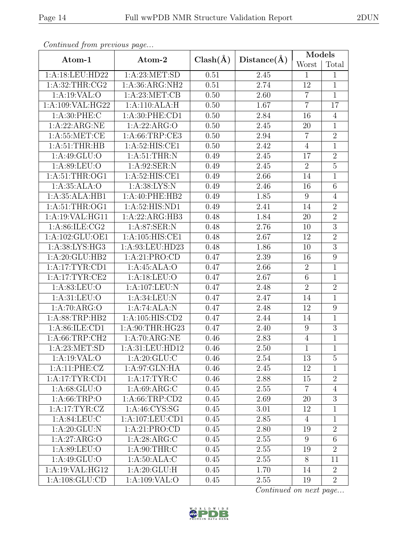| Continued from previous page |                     |              |                   | Models         |                |
|------------------------------|---------------------|--------------|-------------------|----------------|----------------|
| Atom-1                       | Atom-2              | $Clash(\AA)$ | Distance(A)       | Worst          | Total          |
| 1:A:18:LEU:HD22              | 1: A:23: MET:SD     | 0.51         | 2.45              | 1              | 1              |
| 1: A:32:THR:CG2              | 1:A:36:ARG:NH2      | 0.51         | 2.74              | 12             | $\mathbf{1}$   |
| 1:A:19:VAL:O                 | 1: A:23: MET:CB     | 0.50         | 2.60              | $\overline{7}$ | $\mathbf{1}$   |
| 1:A:109:VAL:HG22             | 1:A:110:ALA:H       | 0.50         | 1.67              | $\overline{7}$ | 17             |
| 1: A:30: PHE: C              | 1: A:30: PHE:CD1    | 0.50         | 2.84              | 16             | $\overline{4}$ |
| 1:A:22:ARG:NE                | 1:A:22:ARG:O        | 0.50         | 2.45              | 20             | $\mathbf{1}$   |
| 1: A:55: MET:CE              | 1: A:66:TRP:CE3     | 0.50         | 2.94              | $\overline{7}$ | $\overline{2}$ |
| 1: A:51:THR:HB               | 1:A:52:HIS:CE1      | 0.50         | 2.42              | $\overline{4}$ | $\mathbf{1}$   |
| $1:A:49:\overline{GLU:O}$    | 1: A:51:THR:N       | 0.49         | 2.45              | 17             | $\sqrt{2}$     |
| 1:A:89:LEU:O                 | 1:A:92:SER:N        | 0.49         | 2.45              | $\overline{2}$ | $\overline{5}$ |
| 1:A:51:THR:OG1               | 1:A:52:HIS:CE1      | 0.49         | 2.66              | 14             | $\mathbf{1}$   |
| 1: A:35: ALA:O               | 1: A:38: LYS: N     | 0.49         | 2.46              | 16             | $\sqrt{6}$     |
| 1:A:35:ALA:HB1               | 1:A:40:PHE:HB2      | 0.49         | 1.85              | 9              | $\overline{4}$ |
| 1:A:51:THR:OG1               | 1:A:52:HIS:ND1      | 0.49         | 2.41              | 14             | $\overline{2}$ |
| 1:A:19:VAL:HG11              | 1:A:22:ARG:HB3      | 0.48         | 1.84              | 20             | $\overline{2}$ |
| 1:A:86:ILE:CG2               | 1:A:87:SER:N        | 0.48         | 2.76              | 10             | $\overline{3}$ |
| 1:A:102:GLU:OE1              | 1:A:105:HIS:CE1     | 0.48         | 2.67              | 12             | $\overline{2}$ |
| 1: A:38: L <sub>YS:HG3</sub> | 1:A:93:LEU:HD23     | 0.48         | 1.86              | 10             | $\overline{3}$ |
| 1:A:20:GLU:HB2               | 1:A:21:PRO:CD       | 0.47         | 2.39              | 16             | $\overline{9}$ |
| 1:A:17:TYR:CD1               | 1:A:45:ALA:O        | 0.47         | 2.66              | $\sqrt{2}$     | 1              |
| 1:A:17:TYR:CE2               | 1:A:18:LEU:O        | 0.47         | 2.67              | $\overline{6}$ | $\mathbf{1}$   |
| 1: A:83: LEU:O               | 1:A:107:LEU:N       | 0.47         | 2.48              | $\overline{2}$ | $\sqrt{2}$     |
| 1: A:31: LEU:O               | 1: A:34:LEU: N      | 0.47         | 2.47              | 14             | $\overline{1}$ |
| 1:A:70:ARG:O                 | 1:A:74:ALA:N        | 0.47         | 2.48              | 12             | $\overline{9}$ |
| 1: A:88:TRP:HB2              | 1:A:105:HIS:CD2     | 0.47         | 2.44              | 14             | $\mathbf{1}$   |
| 1:A:86:ILE:CD1               | 1:A:90:THR:HG23     | 0.47         | $\overline{2}.40$ | 9              | $\overline{3}$ |
| 1:A:66:TRP:CH2               | 1:A:70:ARG:NE       | 0.46         | 2.83              | $\overline{4}$ | $\mathbf 1$    |
| 1: A:23: MET:SD              | 1:A:31:LEU:HD12     | 0.46         | 2.50              | $\mathbf{1}$   | $\overline{1}$ |
| 1: A:19: VAL:O               | 1: A:20: GLU:C      | 0.46         | 2.54              | 13             | 5              |
| 1:A:11:PHE:CZ                | 1:A:97:GLN:HA       | 0.46         | 2.45              | 12             | 1              |
| 1:A:17:TYR:CD1               | 1: A:17:TYR:C       | 0.46         | 2.88              | 15             | $\overline{2}$ |
| 1: A:68:GLU:O                | 1: A:69: ARG: C     | 0.45         | 2.55              | $\overline{7}$ | $\overline{4}$ |
| 1:A:66:TRP:O                 | 1: A:66:TRP:CD2     | 0.45         | 2.69              | 20             | $\overline{3}$ |
| 1: A:17:TYR: CZ              | 1: A:46: CYS:SG     | 0.45         | 3.01              | 12             | $\mathbf{1}$   |
| 1: A:84:LEU:C                | 1: A: 107: LEU: CD1 | 0.45         | 2.85              | 4              | $\mathbf{1}$   |
| 1:A:20:GLU:N                 | 1:A:21:PRO:CD       | 0.45         | 2.80              | 19             | $\overline{2}$ |
| 1:A:27:ARG:O                 | 1: A:28: ARG:C      | 0.45         | 2.55              | 9              | $6\,$          |
| 1:A:89:LEU:O                 | 1: A:90:THR:C       | 0.45         | 2.55              | 19             | $\overline{2}$ |
| 1: A:49: GLU:O               | 1:A:50:ALA:C        | 0.45         | 2.55              | $8\phantom{.}$ | 11             |
| 1:A:19:VAL:HG12              | 1: A:20: GLU: H     | 0.45         | 1.70              | 14             | $\overline{2}$ |
| 1: A: 108: GLU: CD           | 1:A:109:VAL:O       | 0.45         | 2.55              | 19             | $\overline{2}$ |

Continued from previous page.

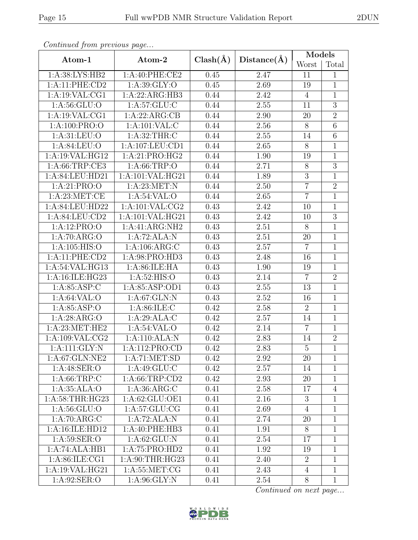| Contentaca from precious page |                     |              |                   | Models         |                |  |
|-------------------------------|---------------------|--------------|-------------------|----------------|----------------|--|
| Atom-1                        | Atom-2              | $Clash(\AA)$ | Distance(A)       | Worst          | Total          |  |
| 1:A:38:LYS:HB2                | 1:A:40:PHE:CE2      | 0.45         | 2.47              | 11             | $\mathbf{1}$   |  |
| 1:A:11:PHE:CD2                | 1: A:39: GLY:O      | 0.45         | 2.69              | 19             | $\mathbf{1}$   |  |
| 1:A:19:VAL:CG1                | 1:A:22:ARG:HB3      | 0.44         | 2.42              | $\overline{4}$ | $\mathbf{1}$   |  |
| 1: A:56: GLU:O                | 1: A:57: GLU: C     | 0.44         | 2.55              | 11             | $\overline{3}$ |  |
| 1: A:19: VAL:CG1              | 1:A:22:ARG:CB       | 0.44         | 2.90              | 20             | $\overline{2}$ |  |
| 1:A:100:PRO:O                 | 1:A:101:VAL:CC      | 0.44         | 2.56              | $8\,$          | $\overline{6}$ |  |
| 1:A:31:LEU:O                  | 1: A:32:THR:C       | 0.44         | $2.55\,$          | 14             | $\overline{6}$ |  |
| 1:A:84:LEU:O                  | 1: A: 107: LEU: CD1 | 0.44         | 2.65              | $8\,$          | $1\,$          |  |
| 1:A:19:VAL:HG12               | 1:A:21:PRO:HG2      | 0.44         | 1.90              | 19             | $\overline{1}$ |  |
| 1: A:66:TRP:CE3               | 1: A:66:TRP:O       | 0.44         | 2.71              | $8\,$          | $\overline{3}$ |  |
| 1:A:84:LEU:HD21               | 1:A:101:VAL:HG21    | 0.44         | 1.89              | $\overline{3}$ | $\overline{1}$ |  |
| 1:A:21:PRO:O                  | 1: A:23:MET:N       | 0.44         | 2.50              | $\overline{7}$ | $\overline{2}$ |  |
| 1: A:23: MET:CE               | 1: A:54:VAL:O       | 0.44         | 2.65              | $\overline{7}$ | $\mathbf{1}$   |  |
| 1:A:84:LEU:HD22               | 1: A: 101: VAL: CG2 | 0.43         | 2.42              | 10             | $\mathbf{1}$   |  |
| 1: A:84:LEU:CD2               | 1:A:101:VAL:HG21    | 0.43         | 2.42              | 10             | $\overline{3}$ |  |
| 1:A:12:PRO:O                  | 1:A:41:ARG:NH2      | 0.43         | $\overline{2.51}$ | 8              | $\overline{1}$ |  |
| 1:A:70:ARG:O                  | 1:A:72:ALA:N        | 0.43         | 2.51              | 20             | $\mathbf{1}$   |  |
| 1: A:105: HIS:O               | 1: A:106: ARG: C    | 0.43         | 2.57              | $\overline{7}$ | $\mathbf{1}$   |  |
| 1:A:11:PHE:CD2                | 1:A:98:PRO:HD3      | 0.43         | 2.48              | 16             | $\mathbf{1}$   |  |
| 1: A:54: VAL: HG13            | 1: A:86: ILE: HA    | 0.43         | 1.90              | 19             | $\mathbf 1$    |  |
| 1:A:16:ILE:HG23               | 1: A:52: HIS:O      | 0.43         | 2.14              | $\overline{7}$ | $\overline{2}$ |  |
| 1: A:85: ASP:C                | 1:A:85:ASP:OD1      | 0.43         | 2.55              | 13             | $1\,$          |  |
| 1: A:64:VAL:O                 | 1:A:67:GLN:N        | 0.43         | 2.52              | 16             | $\mathbf{1}$   |  |
| 1: A:85:ASP:O                 | 1: A:86: ILE: C     | 0.42         | 2.58              | $\overline{2}$ | $\overline{1}$ |  |
| 1:A:28:ARG:O                  | 1:A:29:ALA:C        | 0.42         | 2.57              | 14             | $\mathbf{1}$   |  |
| 1: A:23:MET:HE2               | 1: A:54:VAL:O       | 0.42         | 2.14              | $\overline{7}$ | $\overline{1}$ |  |
| 1: A:109: VAL: CG2            | 1:A:110:ALA:N       | 0.42         | 2.83              | 14             | $\sqrt{2}$     |  |
| $1:$ A:111: $GLY:$ N          | 1:A:112:PRO:CD      | 0.42         | 2.83              | $\overline{5}$ | $\overline{1}$ |  |
| 1:A:67:GLN:NE2                | 1: A:71: MET:SD     | 0.42         | 2.92              | 20             | $\mathbf{1}$   |  |
| 1: A:48: SER:O                | 1:A:49:GLU:C        | 0.42         | 2.57              | 14             | $\mathbf{1}$   |  |
| 1: A:66:TRP:C                 | 1: A:66:TRP:CD2     | 0.42         | 2.93              | 20             | $\mathbf{1}$   |  |
| 1:A:35:ALA:O                  | 1: A:36: ARG: C     | 0.41         | 2.58              | 17             | $\overline{4}$ |  |
| 1:A:58:THR:HG23               | 1: A:62: GLU:OE1    | 0.41         | 2.16              | 3              | $\mathbf{1}$   |  |
| 1: A:56: GLU:O                | 1: A:57: GLU:CG     | 0.41         | 2.69              | $\overline{4}$ | $\mathbf{1}$   |  |
| 1:A:70:ARG:C                  | 1:A:72:ALA:N        | 0.41         | 2.74              | 20             | $\mathbf{1}$   |  |
| 1:A:16:ILE:HD12               | 1:A:40:PHE:HB3      | 0.41         | 1.91              | 8              | $\mathbf{1}$   |  |
| 1: A:59: SER:O                | 1: A:62: GLU: N     | 0.41         | 2.54              | 17             | $\mathbf{1}$   |  |
| 1:A:74:ALA:HB1                | 1:A:75:PRO:HD2      | 0.41         | 1.92              | 19             | $\mathbf{1}$   |  |
| 1: A:86: ILE: CG1             | 1: A:90:THR:HG23    | 0.41         | 2.40              | $\overline{2}$ | $\mathbf{1}$   |  |
| 1:A:19:VAL:HG21               | 1: A:55: MET:CG     | 0.41         | 2.43              | $\overline{4}$ | $\mathbf{1}$   |  |
| 1: A:92: SER:O                | 1: A:96: GLY:N      | 0.41         | 2.54              | 8              | $\mathbf{1}$   |  |

Continued from previous page.

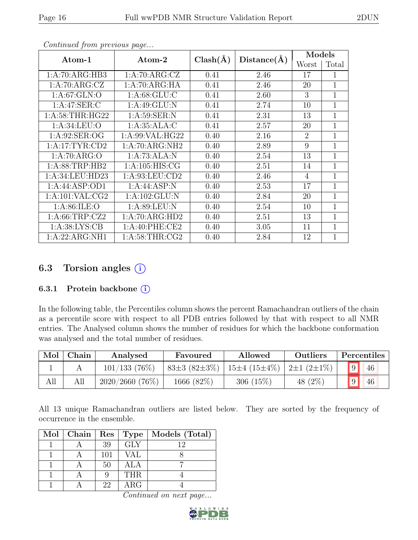| ×<br>۰. |  |
|---------|--|
|---------|--|

| Atom-1              | Atom-2             | $Clash(\AA)$ | $Distance(\AA)$ | Models |             |
|---------------------|--------------------|--------------|-----------------|--------|-------------|
|                     |                    |              |                 | Worst  | Total       |
| 1:A:70:ARG:HB3      | 1: A:70: ARG: CZ   | 0.41         | 2.46            | 17     | 1           |
| 1:A:70:ARG:CZ       | 1: A:70: ARG: HA   | 0.41         | 2.46            | 20     | $\mathbf 1$ |
| 1: A:67: GLN:O      | 1: A:68: GLU: C    | 0.41         | 2.60            | 3      | 1           |
| 1:A:47:SER:C        | 1: A:49: GLU:N     | 0.41         | 2.74            | 10     | 1           |
| 1: A:58:THR:HG22    | 1: A:59: SER: N    | 0.41         | 2.31            | 13     | 1           |
| 1: A:34:LEU:O       | 1: A:35: ALA: C    | 0.41         | 2.57            | 20     | 1           |
| 1: A:92: SER:OG     | 1: A:99: VAL: HG22 | 0.40         | 2.16            | 2      | 1           |
| 1:A:17:TYR:CD2      | 1:A:70:ARG:NH2     | 0.40         | 2.89            | 9      | 1           |
| 1: A:70: ARG:O      | 1:A:73:ALA:N       | 0.40         | 2.54            | 13     | 1           |
| 1: A:88:TRP:HB2     | 1: A: 105: HIS: CG | 0.40         | 2.51            | 14     | 1           |
| 1:A:34:LEU:HD23     | 1: A:93:LEU:CD2    | 0.40         | 2.46            | 4      | 1           |
| 1:A:44:ASP:OD1      | 1:A:44:ASP:N       | 0.40         | 2.53            | 17     | 1           |
| 1: A: 101: VAL: CG2 | 1: A: 102: GLU: N  | 0.40         | 2.84            | 20     | 1           |
| 1: A:86: ILE:O      | 1: A:89: LEU: N    | 0.40         | 2.54            | 10     | 1           |
| 1: A:66:TRP:CZ2     | 1:A:70:ARG:HD2     | 0.40         | 2.51            | 13     | 1           |
| 1: A:38: LYS: CB    | 1:A:40:PHE:CE2     | 0.40         | 3.05            | 11     | 1           |
| 1:A:22:ARG:NH1      | 1: A:58:THR:CG2    | 0.40         | 2.84            | 12     | 1           |

Continued from previous page...

### 6.3 Torsion angles (i)

#### 6.3.1 Protein backbone (i)

In the following table, the Percentiles column shows the percent Ramachandran outliers of the chain as a percentile score with respect to all PDB entries followed by that with respect to all NMR entries. The Analysed column shows the number of residues for which the backbone conformation was analysed and the total number of residues.

| Mol | Chain | Analysed       | Allowed<br>Favoured |                                                     | Outliers   | Percentiles |    |
|-----|-------|----------------|---------------------|-----------------------------------------------------|------------|-------------|----|
|     |       | 101/133(76%)   | $83\pm3(82\pm3\%)$  | 15 $\pm$ 4 (15 $\pm$ 4\%)   2 $\pm$ 1 (2 $\pm$ 1\%) |            |             | 46 |
| All | All   | 2020/2660(76%) | 1666 (82\%)         | 306 $(15%)$                                         | 48 $(2\%)$ |             | 46 |

All 13 unique Ramachandran outliers are listed below. They are sorted by the frequency of occurrence in the ensemble.

| Mol   Chain   Res |     | Type       | Models (Total) |
|-------------------|-----|------------|----------------|
|                   | 39  | <b>GLY</b> | 19             |
|                   | 101 | VAL        |                |
|                   | 50  | ALA        |                |
|                   |     | <b>THR</b> |                |
|                   | 22  | $\rm{ARG}$ |                |

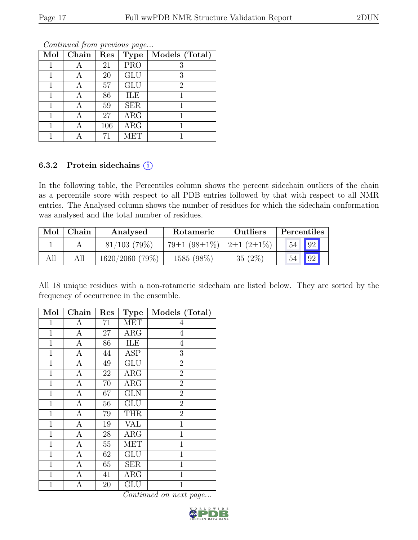| $\overline{\text{Mol}}$ | Chain | Res | <b>Type</b> | Models (Total) |
|-------------------------|-------|-----|-------------|----------------|
|                         |       | 21  | <b>PRO</b>  | 3              |
|                         |       | 20  | <b>GLU</b>  | 3              |
|                         |       | 57  | GLU         | 2              |
|                         |       | 86  | ILE         |                |
|                         |       | 59  | <b>SER</b>  |                |
|                         |       | 27  | ARG         |                |
|                         |       | 106 | ARG         |                |
|                         |       | 71  | MET         |                |

Continued from previous page...

#### 6.3.2 Protein sidechains (i)

In the following table, the Percentiles column shows the percent sidechain outliers of the chain as a percentile score with respect to all PDB entries followed by that with respect to all NMR entries. The Analysed column shows the number of residues for which the sidechain conformation was analysed and the total number of residues.

| Mol | Chain | Analysed        | <b>Rotameric</b>                                  | <b>Outliers</b> | Percentiles |    |  |
|-----|-------|-----------------|---------------------------------------------------|-----------------|-------------|----|--|
|     |       | $81/103$ (79\%) | 79 $\pm$ 1 (98 $\pm$ 1%)   2 $\pm$ 1 (2 $\pm$ 1%) |                 | 54          | 92 |  |
| All |       | 1620/2060(79%)  | 1585 (98%)                                        | $35(2\%)$       | 54          | 92 |  |

All 18 unique residues with a non-rotameric sidechain are listed below. They are sorted by the frequency of occurrence in the ensemble.

| Mol          | Chain            | Res    | <b>Type</b>  | Models (Total)   |
|--------------|------------------|--------|--------------|------------------|
| 1            | А                | 71     | MET          | 4                |
| $\mathbf 1$  | А                | 27     | $\rm{ARG}$   | $\overline{4}$   |
| $\mathbf{1}$ | $\mathbf{A}$     | 86     | ILE          | $\overline{4}$   |
| $\mathbf{1}$ | $\mathbf{A}$     | 44     | <b>ASP</b>   | $\boldsymbol{3}$ |
| $\mathbf{1}$ | $\overline{A}$   | 49     | <b>GLU</b>   | $\overline{2}$   |
| $\mathbf{1}$ | $\mathbf{A}$     | 22     | ARG          | $\overline{2}$   |
| $\mathbf{1}$ | $\boldsymbol{A}$ | 70     | $\rm{ARG}$   | $\overline{2}$   |
| 1            | A                | 67     | <b>GLN</b>   | $\overline{2}$   |
| $\mathbf 1$  | А                | 56     | GLU          | $\overline{2}$   |
| $\mathbf{1}$ | A                | 79     | <b>THR</b>   | $\overline{2}$   |
| $\mathbf{1}$ | $\mathbf{A}$     | 19     | <b>VAL</b>   | $\overline{1}$   |
| $\mathbf{1}$ | $\overline{A}$   | 28     | ARG          | $\mathbf{1}$     |
| $\mathbf{1}$ | $\mathbf{A}$     | $55\,$ | <b>MET</b>   | $\mathbf 1$      |
| $\mathbf{1}$ | $\overline{A}$   | 62     | GLU          | $\mathbf{1}$     |
| $\mathbf{1}$ | $\boldsymbol{A}$ | 65     | <b>SER</b>   | $\overline{1}$   |
| 1            | А                | 41     | $\rm{ARG}$   | 1                |
| 1            | Α                | 20     | $_{\rm GLU}$ | 1                |

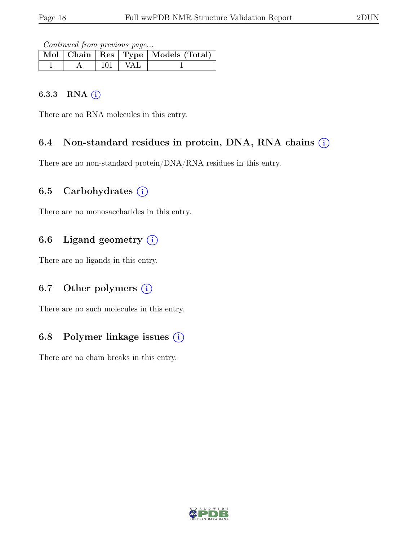Continued from previous page...

|  |             | Mol   Chain   Res   Type   Models (Total) |
|--|-------------|-------------------------------------------|
|  | $101$   VAL |                                           |

#### 6.3.3 RNA  $(i)$

There are no RNA molecules in this entry.

### 6.4 Non-standard residues in protein, DNA, RNA chains  $(i)$

There are no non-standard protein/DNA/RNA residues in this entry.

### 6.5 Carbohydrates  $(i)$

There are no monosaccharides in this entry.

## 6.6 Ligand geometry  $(i)$

There are no ligands in this entry.

### 6.7 Other polymers  $(i)$

There are no such molecules in this entry.

### 6.8 Polymer linkage issues  $(i)$

There are no chain breaks in this entry.